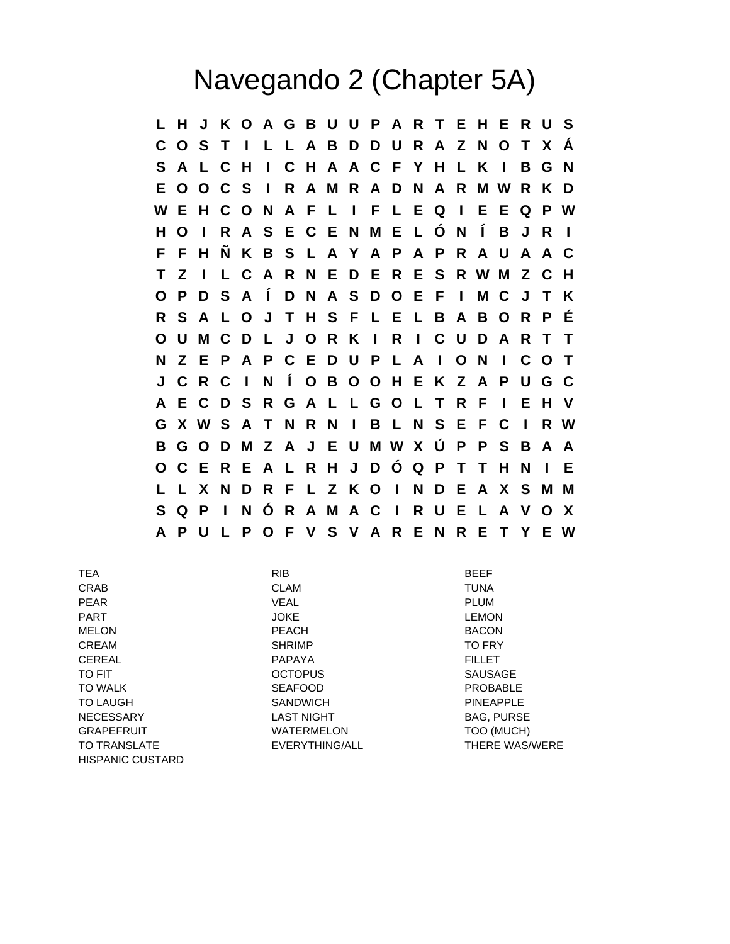## Navegando 2 (Chapter 5A)

**L H J K O A G B U U P A R T E H E R U S C O S T I L L A B D D U R A Z N O T X Á S A L C H I C H A A C F Y H L K I B G N E O O C S I R A M R A D N A R M W R K D W E H C O N A F L I F L E Q I E E Q P W H O I R A S E C E N M E L Ó N Í B J R I F F H Ñ K B S L A Y A P A P R A U A A C T Z I L C A R N E D E R E S R W M Z C H O P D S A Í D N A S D O E F I M C J T K R S A L O J T H S F L E L B A B O R P É O U M C D L J O R K I R I C U D A R T T N Z E P A P C E D U P L A I O N I C O T J C R C I N Í O B O O H E K Z A P U G C A E C D S R G A L L G O L T R F I E H V G X W S A T N R N I B L N S E F C I R W B G O D M Z A J E U M W X Ú P P S B A A O C E R E A L R H J D Ó Q P T T H N I E L L X N D R F L Z K O I N D E A X S M M S Q P I N Ó R A M A C I R U E L A V O X A P U L P O F V S V A R E N R E T Y E W**

| <b>TEA</b>              | <b>RIB</b>        | <b>BEEF</b>           |
|-------------------------|-------------------|-----------------------|
| CRAB                    | <b>CLAM</b>       | <b>TUNA</b>           |
| <b>PEAR</b>             | <b>VEAL</b>       | <b>PLUM</b>           |
| <b>PART</b>             | <b>JOKE</b>       | <b>LEMON</b>          |
| <b>MELON</b>            | <b>PEACH</b>      | <b>BACON</b>          |
| CREAM                   | <b>SHRIMP</b>     | <b>TO FRY</b>         |
| <b>CEREAL</b>           | <b>PAPAYA</b>     | <b>FILLET</b>         |
| <b>TO FIT</b>           | <b>OCTOPUS</b>    | <b>SAUSAGE</b>        |
| <b>TO WALK</b>          | <b>SEAFOOD</b>    | <b>PROBABLE</b>       |
| <b>TO LAUGH</b>         | <b>SANDWICH</b>   | <b>PINEAPPLE</b>      |
| <b>NECESSARY</b>        | <b>LAST NIGHT</b> | <b>BAG, PURSE</b>     |
| <b>GRAPEFRUIT</b>       | <b>WATERMELON</b> | TOO (MUCH)            |
| <b>TO TRANSLATE</b>     | EVERYTHING/ALL    | <b>THERE WAS/WERE</b> |
| <b>HISPANIC CUSTARD</b> |                   |                       |